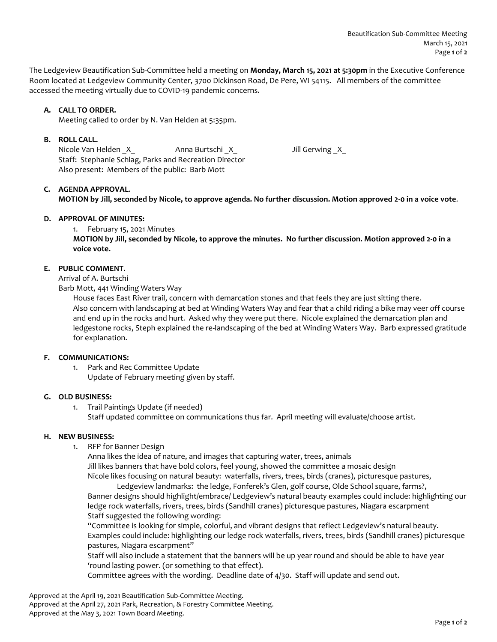The Ledgeview Beautification Sub-Committee held a meeting on **Monday, March 15, 2021 at 5:30pm** in the Executive Conference Room located at Ledgeview Community Center, 3700 Dickinson Road, De Pere, WI 54115. All members of the committee accessed the meeting virtually due to COVID-19 pandemic concerns.

# **A. CALL TO ORDER.**

Meeting called to order by N. Van Helden at 5:35pm.

## **B. ROLL CALL.**

Nicole Van Helden \_X\_ Anna Burtschi \_X\_ Jill Gerwing \_X\_ Staff: Stephanie Schlag, Parks and Recreation Director Also present: Members of the public: Barb Mott

### **C. AGENDA APPROVAL**.

**MOTION by Jill, seconded by Nicole, to approve agenda. No further discussion. Motion approved 2-0 in a voice vote**.

#### **D. APPROVAL OF MINUTES:**

1. February 15, 2021 Minutes

**MOTION by Jill, seconded by Nicole, to approve the minutes. No further discussion. Motion approved 2-0 in a voice vote.**

# **E. PUBLIC COMMENT**.

Arrival of A. Burtschi

Barb Mott, 441 Winding Waters Way

House faces East River trail, concern with demarcation stones and that feels they are just sitting there. Also concern with landscaping at bed at Winding Waters Way and fear that a child riding a bike may veer off course and end up in the rocks and hurt. Asked why they were put there. Nicole explained the demarcation plan and ledgestone rocks, Steph explained the re-landscaping of the bed at Winding Waters Way. Barb expressed gratitude for explanation.

### **F. COMMUNICATIONS:**

1. Park and Rec Committee Update Update of February meeting given by staff.

# **G. OLD BUSINESS:**

1. Trail Paintings Update (if needed) Staff updated committee on communications thus far. April meeting will evaluate/choose artist.

#### **H. NEW BUSINESS:**

1. RFP for Banner Design

Anna likes the idea of nature, and images that capturing water, trees, animals Jill likes banners that have bold colors, feel young, showed the committee a mosaic design Nicole likes focusing on natural beauty: waterfalls, rivers, trees, birds (cranes), picturesque pastures,

Ledgeview landmarks: the ledge, Fonferek's Glen, golf course, Olde School square, farms?, Banner designs should highlight/embrace/ Ledgeview's natural beauty examples could include: highlighting our ledge rock waterfalls, rivers, trees, birds (Sandhill cranes) picturesque pastures, Niagara escarpment Staff suggested the following wording:

"Committee is looking for simple, colorful, and vibrant designs that reflect Ledgeview's natural beauty. Examples could include: highlighting our ledge rock waterfalls, rivers, trees, birds (Sandhill cranes) picturesque pastures, Niagara escarpment"

Staff will also include a statement that the banners will be up year round and should be able to have year 'round lasting power. (or something to that effect).

Committee agrees with the wording. Deadline date of 4/30. Staff will update and send out.

Approved at the April 19, 2021 Beautification Sub-Committee Meeting. Approved at the April 27, 2021 Park, Recreation, & Forestry Committee Meeting. Approved at the May 3, 2021 Town Board Meeting.